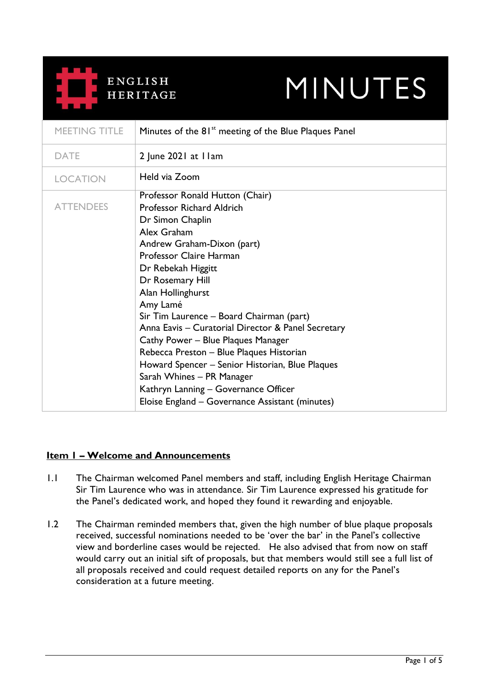

# **MINUTES**

| MEETING TITLE    | Minutes of the 81 <sup>st</sup> meeting of the Blue Plaques Panel                                                                                                                                                                                                                                                                                                                                                                                                                                                                                                                                         |
|------------------|-----------------------------------------------------------------------------------------------------------------------------------------------------------------------------------------------------------------------------------------------------------------------------------------------------------------------------------------------------------------------------------------------------------------------------------------------------------------------------------------------------------------------------------------------------------------------------------------------------------|
| <b>DATE</b>      | 2 June 2021 at I lam                                                                                                                                                                                                                                                                                                                                                                                                                                                                                                                                                                                      |
| <b>LOCATION</b>  | Held via Zoom                                                                                                                                                                                                                                                                                                                                                                                                                                                                                                                                                                                             |
| <b>ATTENDEES</b> | Professor Ronald Hutton (Chair)<br><b>Professor Richard Aldrich</b><br>Dr Simon Chaplin<br>Alex Graham<br>Andrew Graham-Dixon (part)<br>Professor Claire Harman<br>Dr Rebekah Higgitt<br>Dr Rosemary Hill<br>Alan Hollinghurst<br>Amy Lamé<br>Sir Tim Laurence – Board Chairman (part)<br>Anna Eavis - Curatorial Director & Panel Secretary<br>Cathy Power – Blue Plaques Manager<br>Rebecca Preston - Blue Plaques Historian<br>Howard Spencer – Senior Historian, Blue Plaques<br>Sarah Whines - PR Manager<br>Kathryn Lanning - Governance Officer<br>Eloise England - Governance Assistant (minutes) |

# **Item 1 – Welcome and Announcements**

- 1.1 The Chairman welcomed Panel members and staff, including English Heritage Chairman Sir Tim Laurence who was in attendance. Sir Tim Laurence expressed his gratitude for the Panel's dedicated work, and hoped they found it rewarding and enjoyable.
- 1.2 The Chairman reminded members that, given the high number of blue plaque proposals received, successful nominations needed to be 'over the bar' in the Panel's collective view and borderline cases would be rejected. He also advised that from now on staff would carry out an initial sift of proposals, but that members would still see a full list of all proposals received and could request detailed reports on any for the Panel's consideration at a future meeting.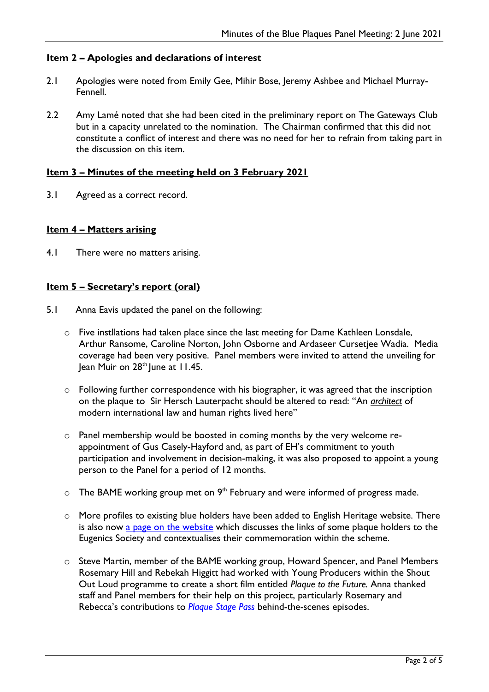# **Item 2 – Apologies and declarations of interest**

- 2.1 Apologies were noted from Emily Gee, Mihir Bose, Jeremy Ashbee and Michael Murray-Fennell.
- 2.2 Amy Lamé noted that she had been cited in the preliminary report on The Gateways Club but in a capacity unrelated to the nomination. The Chairman confirmed that this did not constitute a conflict of interest and there was no need for her to refrain from taking part in the discussion on this item.

# **Item 3 – Minutes of the meeting held on 3 February 2021**

3.1 Agreed as a correct record.

# **Item 4 – Matters arising**

4.1 There were no matters arising.

# **Item 5 – Secretary's report (oral)**

- 5.1 Anna Eavis updated the panel on the following:
	- o Five instllations had taken place since the last meeting for Dame Kathleen Lonsdale, Arthur Ransome, Caroline Norton, John Osborne and Ardaseer Cursetjee Wadia. Media coverage had been very positive. Panel members were invited to attend the unveiling for Jean Muir on 28<sup>th</sup> June at 11.45.
	- o Following further correspondence with his biographer, it was agreed that the inscription on the plaque to Sir Hersch Lauterpacht should be altered to read: "An *architect* of modern international law and human rights lived here"
	- o Panel membership would be boosted in coming months by the very welcome reappointment of Gus Casely-Hayford and, as part of EH's commitment to youth participation and involvement in decision-making, it was also proposed to appoint a young person to the Panel for a period of 12 months.
	- $\circ$  The BAME working group met on 9<sup>th</sup> February and were informed of progress made.
	- o More profiles to existing blue holders have been added to English Heritage website. There is also now [a page on the website](https://www.english-heritage.org.uk/visit/blue-plaques/blue-plaque-stories/eugenics/) which discusses the links of some plaque holders to the Eugenics Society and contextualises their commemoration within the scheme.
	- o Steve Martin, member of the BAME working group, Howard Spencer, and Panel Members Rosemary Hill and Rebekah Higgitt had worked with Young Producers within the Shout Out Loud programme to create a short film entitled *Plaque to the Future.* Anna thanked staff and Panel members for their help on this project, particularly Rosemary and Rebecca's contributions to *[Plaque Stage Pass](https://www.youtube.com/watch?v=PpEhYwXlyMw&t=257s)* behind-the-scenes episodes.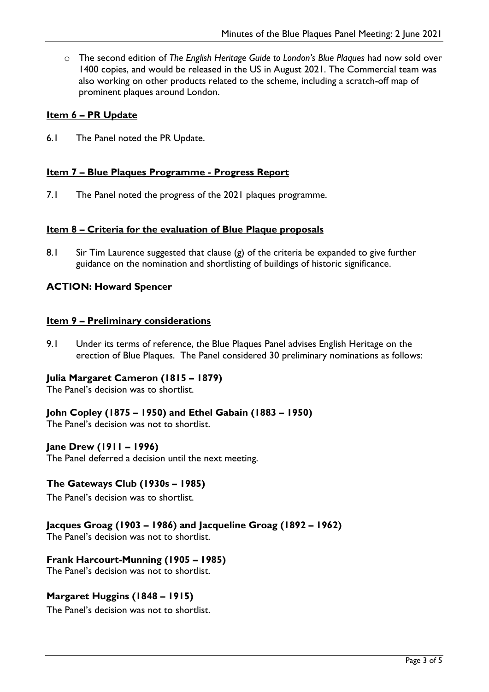o The second edition of *The English Heritage Guide to London's Blue Plaques* had now sold over 1400 copies, and would be released in the US in August 2021. The Commercial team was also working on other products related to the scheme, including a scratch-off map of prominent plaques around London.

# **Item 6 – PR Update**

6.1 The Panel noted the PR Update.

# **Item 7 – Blue Plaques Programme - Progress Report**

7.1 The Panel noted the progress of the 2021 plaques programme.

#### **Item 8 – Criteria for the evaluation of Blue Plaque proposals**

8.1 Sir Tim Laurence suggested that clause (g) of the criteria be expanded to give further guidance on the nomination and shortlisting of buildings of historic significance.

#### **ACTION: Howard Spencer**

#### **Item 9 – Preliminary considerations**

9.1 Under its terms of reference, the Blue Plaques Panel advises English Heritage on the erection of Blue Plaques. The Panel considered 30 preliminary nominations as follows:

#### **Julia Margaret Cameron (1815 – 1879)**

The Panel's decision was to shortlist.

# **John Copley (1875 – 1950) and Ethel Gabain (1883 – 1950)**

The Panel's decision was not to shortlist.

#### **Jane Drew (1911 – 1996)**

The Panel deferred a decision until the next meeting.

#### **The Gateways Club (1930s – 1985)**

The Panel's decision was to shortlist.

#### **Jacques Groag (1903 – 1986) and Jacqueline Groag (1892 – 1962)**

The Panel's decision was not to shortlist.

#### **Frank Harcourt-Munning (1905 – 1985)**

The Panel's decision was not to shortlist.

#### **Margaret Huggins (1848 – 1915)**

The Panel's decision was not to shortlist.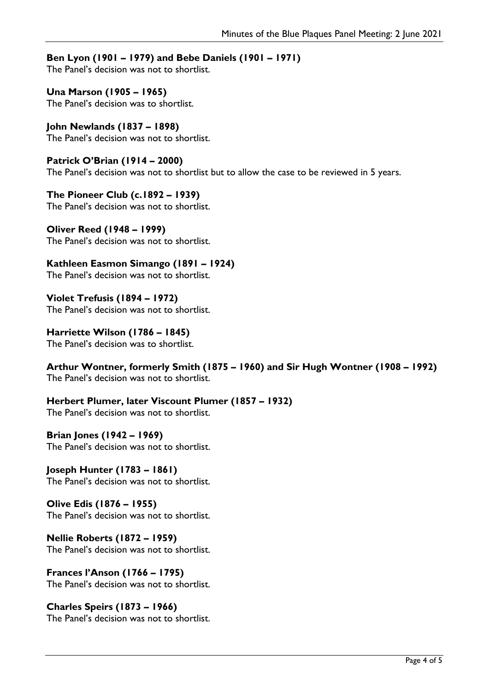# **Ben Lyon (1901 – 1979) and Bebe Daniels (1901 – 1971)**

The Panel's decision was not to shortlist.

**Una Marson (1905 – 1965)** The Panel's decision was to shortlist.

**John Newlands (1837 – 1898)** The Panel's decision was not to shortlist.

**Patrick O'Brian (1914 – 2000)** The Panel's decision was not to shortlist but to allow the case to be reviewed in 5 years.

**The Pioneer Club (c.1892 – 1939)** The Panel's decision was not to shortlist.

**Oliver Reed (1948 – 1999)** The Panel's decision was not to shortlist.

**Kathleen Easmon Simango (1891 – 1924)** The Panel's decision was not to shortlist.

**Violet Trefusis (1894 – 1972)** The Panel's decision was not to shortlist.

**Harriette Wilson (1786 – 1845)** The Panel's decision was to shortlist.

**Arthur Wontner, formerly Smith (1875 – 1960) and Sir Hugh Wontner (1908 – 1992)** The Panel's decision was not to shortlist.

**Herbert Plumer, later Viscount Plumer (1857 – 1932)** The Panel's decision was not to shortlist.

**Brian Jones (1942 – 1969)** The Panel's decision was not to shortlist.

**Joseph Hunter (1783 – 1861)** The Panel's decision was not to shortlist.

**Olive Edis (1876 – 1955)** The Panel's decision was not to shortlist.

**Nellie Roberts (1872 – 1959)** The Panel's decision was not to shortlist.

**Frances l'Anson (1766 – 1795)** The Panel's decision was not to shortlist.

**Charles Speirs (1873 – 1966)** The Panel's decision was not to shortlist.